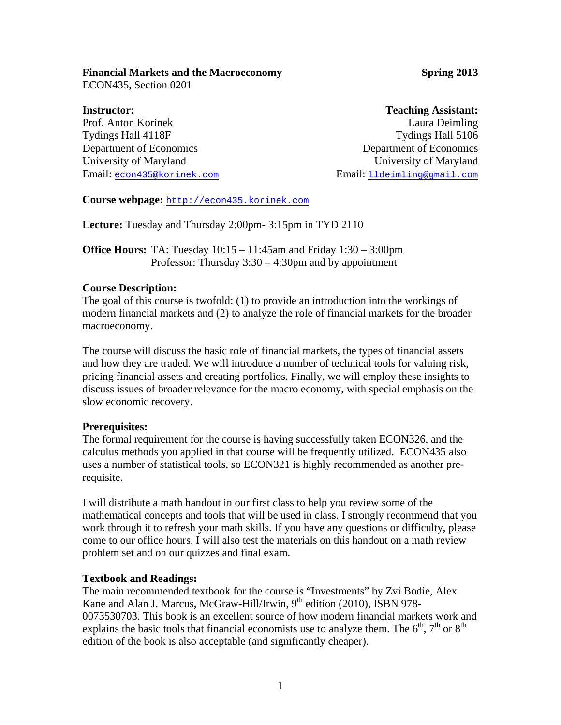# **Financial Markets and the Macroeconomy <b>Spring 2013 Spring 2013**

ECON435, Section 0201

**Instructor:**  Prof. Anton Korinek Tydings Hall 4118F Department of Economics University of Maryland Email: econ435@korinek.com

# **Teaching Assistant:**

Laura Deimling Tydings Hall 5106 Department of Economics University of Maryland Email: lldeimling@gmail.com

**Course webpage:** http://econ435.korinek.com

**Lecture:** Tuesday and Thursday 2:00pm- 3:15pm in TYD 2110

**Office Hours:** TA: Tuesday 10:15 – 11:45am and Friday 1:30 – 3:00pm Professor: Thursday 3:30 – 4:30pm and by appointment

# **Course Description:**

The goal of this course is twofold: (1) to provide an introduction into the workings of modern financial markets and (2) to analyze the role of financial markets for the broader macroeconomy.

The course will discuss the basic role of financial markets, the types of financial assets and how they are traded. We will introduce a number of technical tools for valuing risk, pricing financial assets and creating portfolios. Finally, we will employ these insights to discuss issues of broader relevance for the macro economy, with special emphasis on the slow economic recovery.

# **Prerequisites:**

The formal requirement for the course is having successfully taken ECON326, and the calculus methods you applied in that course will be frequently utilized. ECON435 also uses a number of statistical tools, so ECON321 is highly recommended as another prerequisite.

I will distribute a math handout in our first class to help you review some of the mathematical concepts and tools that will be used in class. I strongly recommend that you work through it to refresh your math skills. If you have any questions or difficulty, please come to our office hours. I will also test the materials on this handout on a math review problem set and on our quizzes and final exam.

# **Textbook and Readings:**

The main recommended textbook for the course is "Investments" by Zvi Bodie, Alex Kane and Alan J. Marcus, McGraw-Hill/Irwin, 9<sup>th</sup> edition (2010), ISBN 978-0073530703. This book is an excellent source of how modern financial markets work and explains the basic tools that financial economists use to analyze them. The  $6<sup>th</sup>$ ,  $7<sup>th</sup>$  or  $8<sup>th</sup>$ edition of the book is also acceptable (and significantly cheaper).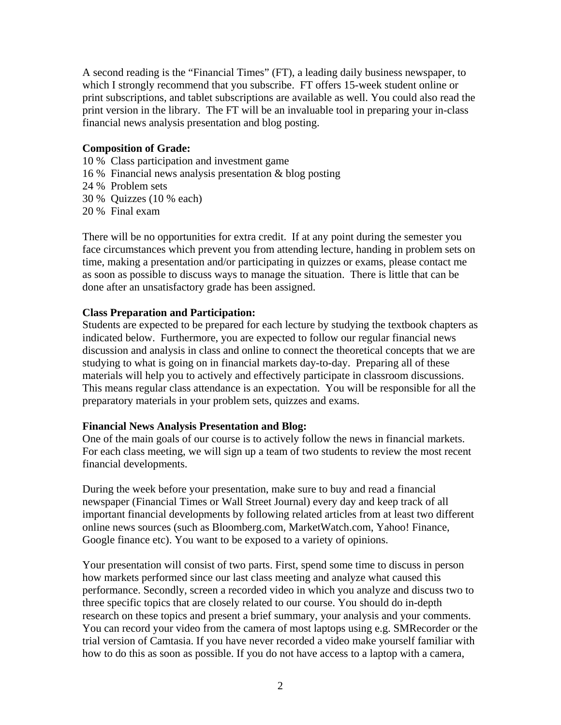A second reading is the "Financial Times" (FT), a leading daily business newspaper, to which I strongly recommend that you subscribe. FT offers 15-week student online or print subscriptions, and tablet subscriptions are available as well. You could also read the print version in the library. The FT will be an invaluable tool in preparing your in-class financial news analysis presentation and blog posting.

### **Composition of Grade:**

- 10 % Class participation and investment game
- 16 % Financial news analysis presentation & blog posting
- 24 % Problem sets
- 30 % Quizzes (10 % each)
- 20 % Final exam

There will be no opportunities for extra credit. If at any point during the semester you face circumstances which prevent you from attending lecture, handing in problem sets on time, making a presentation and/or participating in quizzes or exams, please contact me as soon as possible to discuss ways to manage the situation. There is little that can be done after an unsatisfactory grade has been assigned.

### **Class Preparation and Participation:**

Students are expected to be prepared for each lecture by studying the textbook chapters as indicated below. Furthermore, you are expected to follow our regular financial news discussion and analysis in class and online to connect the theoretical concepts that we are studying to what is going on in financial markets day-to-day. Preparing all of these materials will help you to actively and effectively participate in classroom discussions. This means regular class attendance is an expectation. You will be responsible for all the preparatory materials in your problem sets, quizzes and exams.

#### **Financial News Analysis Presentation and Blog:**

One of the main goals of our course is to actively follow the news in financial markets. For each class meeting, we will sign up a team of two students to review the most recent financial developments.

During the week before your presentation, make sure to buy and read a financial newspaper (Financial Times or Wall Street Journal) every day and keep track of all important financial developments by following related articles from at least two different online news sources (such as Bloomberg.com, MarketWatch.com, Yahoo! Finance, Google finance etc). You want to be exposed to a variety of opinions.

Your presentation will consist of two parts. First, spend some time to discuss in person how markets performed since our last class meeting and analyze what caused this performance. Secondly, screen a recorded video in which you analyze and discuss two to three specific topics that are closely related to our course. You should do in-depth research on these topics and present a brief summary, your analysis and your comments. You can record your video from the camera of most laptops using e.g. SMRecorder or the trial version of Camtasia. If you have never recorded a video make yourself familiar with how to do this as soon as possible. If you do not have access to a laptop with a camera,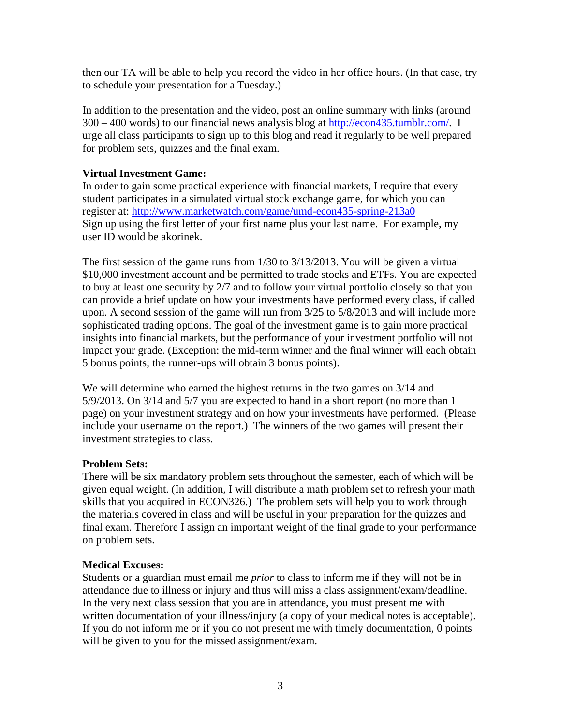then our TA will be able to help you record the video in her office hours. (In that case, try to schedule your presentation for a Tuesday.)

In addition to the presentation and the video, post an online summary with links (around 300 – 400 words) to our financial news analysis blog at http://econ435.tumblr.com/. I urge all class participants to sign up to this blog and read it regularly to be well prepared for problem sets, quizzes and the final exam.

## **Virtual Investment Game:**

In order to gain some practical experience with financial markets, I require that every student participates in a simulated virtual stock exchange game, for which you can register at: http://www.marketwatch.com/game/umd-econ435-spring-213a0 Sign up using the first letter of your first name plus your last name. For example, my user ID would be akorinek.

The first session of the game runs from 1/30 to 3/13/2013. You will be given a virtual \$10,000 investment account and be permitted to trade stocks and ETFs. You are expected to buy at least one security by 2/7 and to follow your virtual portfolio closely so that you can provide a brief update on how your investments have performed every class, if called upon. A second session of the game will run from 3/25 to 5/8/2013 and will include more sophisticated trading options. The goal of the investment game is to gain more practical insights into financial markets, but the performance of your investment portfolio will not impact your grade. (Exception: the mid-term winner and the final winner will each obtain 5 bonus points; the runner-ups will obtain 3 bonus points).

We will determine who earned the highest returns in the two games on 3/14 and 5/9/2013. On 3/14 and 5/7 you are expected to hand in a short report (no more than 1 page) on your investment strategy and on how your investments have performed. (Please include your username on the report.) The winners of the two games will present their investment strategies to class.

## **Problem Sets:**

There will be six mandatory problem sets throughout the semester, each of which will be given equal weight. (In addition, I will distribute a math problem set to refresh your math skills that you acquired in ECON326.) The problem sets will help you to work through the materials covered in class and will be useful in your preparation for the quizzes and final exam. Therefore I assign an important weight of the final grade to your performance on problem sets.

## **Medical Excuses:**

Students or a guardian must email me *prior* to class to inform me if they will not be in attendance due to illness or injury and thus will miss a class assignment/exam/deadline. In the very next class session that you are in attendance, you must present me with written documentation of your illness/injury (a copy of your medical notes is acceptable). If you do not inform me or if you do not present me with timely documentation, 0 points will be given to you for the missed assignment/exam.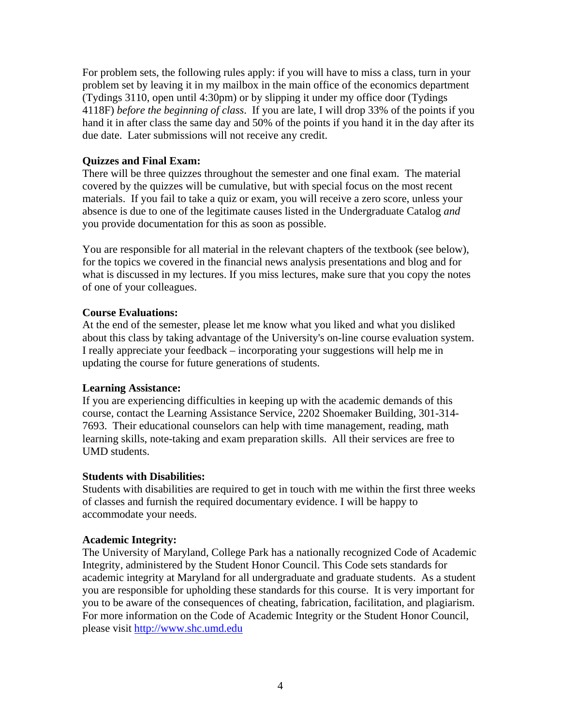For problem sets, the following rules apply: if you will have to miss a class, turn in your problem set by leaving it in my mailbox in the main office of the economics department (Tydings 3110, open until 4:30pm) or by slipping it under my office door (Tydings 4118F) *before the beginning of class*. If you are late, I will drop 33% of the points if you hand it in after class the same day and 50% of the points if you hand it in the day after its due date. Later submissions will not receive any credit.

## **Quizzes and Final Exam:**

There will be three quizzes throughout the semester and one final exam. The material covered by the quizzes will be cumulative, but with special focus on the most recent materials. If you fail to take a quiz or exam, you will receive a zero score, unless your absence is due to one of the legitimate causes listed in the Undergraduate Catalog *and* you provide documentation for this as soon as possible.

You are responsible for all material in the relevant chapters of the textbook (see below), for the topics we covered in the financial news analysis presentations and blog and for what is discussed in my lectures. If you miss lectures, make sure that you copy the notes of one of your colleagues.

## **Course Evaluations:**

At the end of the semester, please let me know what you liked and what you disliked about this class by taking advantage of the University's on-line course evaluation system. I really appreciate your feedback – incorporating your suggestions will help me in updating the course for future generations of students.

## **Learning Assistance:**

If you are experiencing difficulties in keeping up with the academic demands of this course, contact the Learning Assistance Service, 2202 Shoemaker Building, 301-314- 7693. Their educational counselors can help with time management, reading, math learning skills, note-taking and exam preparation skills. All their services are free to UMD students.

### **Students with Disabilities:**

Students with disabilities are required to get in touch with me within the first three weeks of classes and furnish the required documentary evidence. I will be happy to accommodate your needs.

### **Academic Integrity:**

The University of Maryland, College Park has a nationally recognized Code of Academic Integrity, administered by the Student Honor Council. This Code sets standards for academic integrity at Maryland for all undergraduate and graduate students. As a student you are responsible for upholding these standards for this course. It is very important for you to be aware of the consequences of cheating, fabrication, facilitation, and plagiarism. For more information on the Code of Academic Integrity or the Student Honor Council, please visit http://www.shc.umd.edu